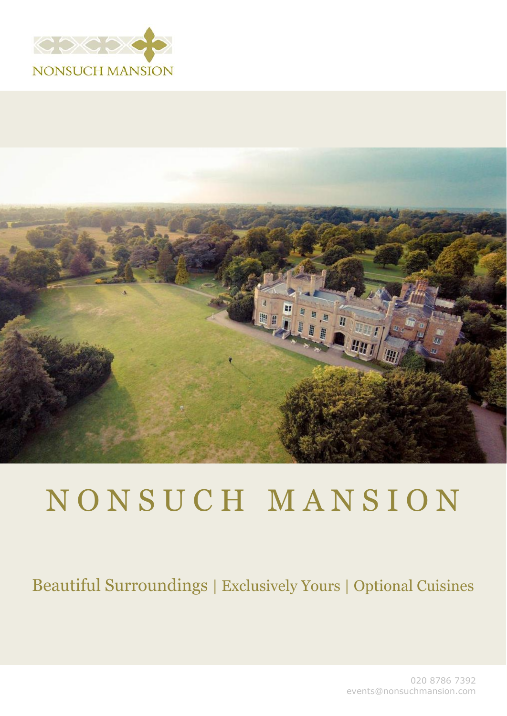



# N O N S U C H M A N S I O N

### Beautiful Surroundings | Exclusively Yours | Optional Cuisines

020 8786 7392 events@nonsuchmansion.com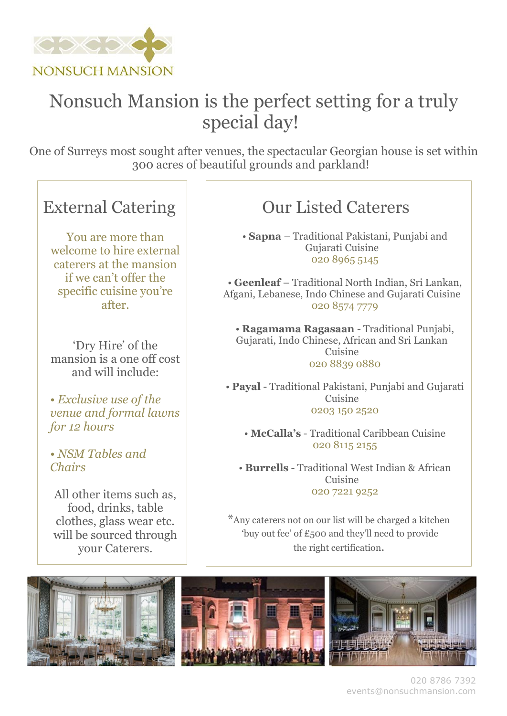

## Nonsuch Mansion is the perfect setting for a truly special day!

One of Surreys most sought after venues, the spectacular Georgian house is set within 300 acres of beautiful grounds and parkland!

#### External Catering

You are more than welcome to hire external caterers at the mansion if we can't offer the specific cuisine you're after.

'Dry Hire' of the mansion is a one off cost and will include:

*• Exclusive use of the venue and formal lawns for 12 hours*

*• NSM Tables and Chairs* 

All other items such as, food, drinks, table clothes, glass wear etc. will be sourced through your Caterers.

### Our Listed Caterers

• **Sapna** – Traditional Pakistani, Punjabi and Gujarati Cuisine 020 8965 5145

• **Geenleaf** – Traditional North Indian, Sri Lankan, Afgani, Lebanese, Indo Chinese and Gujarati Cuisine 020 8574 7779

• **Ragamama Ragasaan** - Traditional Punjabi, Gujarati, Indo Chinese, African and Sri Lankan Cuisine 020 8839 0880

• **Payal** - Traditional Pakistani, Punjabi and Gujarati Cuisine 0203 150 2520

• **McCalla's** - Traditional Caribbean Cuisine 020 8115 2155

• **Burrells** - Traditional West Indian & African Cuisine 020 7221 9252

\*Any caterers not on our list will be charged a kitchen 'buy out fee' of £500 and they'll need to provide the right certification.





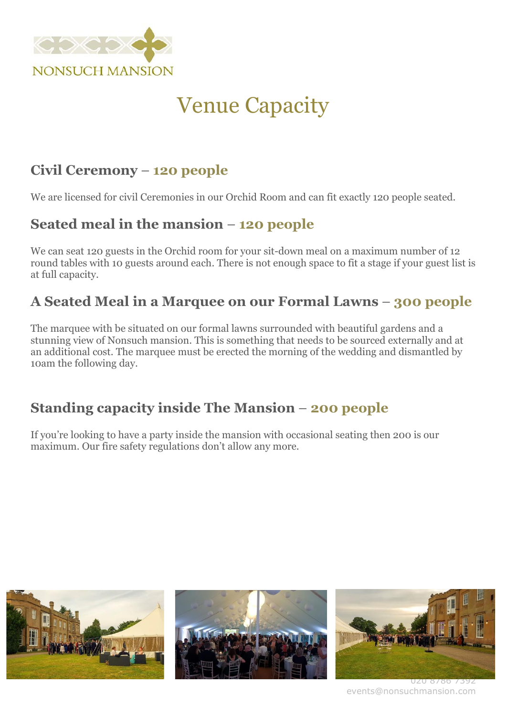

# Venue Capacity

#### **Civil Ceremony** – **120 people**

We are licensed for civil Ceremonies in our Orchid Room and can fit exactly 120 people seated.

#### **Seated meal in the mansion** – **120 people**

We can seat 120 guests in the Orchid room for your sit-down meal on a maximum number of 12 round tables with 10 guests around each. There is not enough space to fit a stage if your guest list is at full capacity.

#### **A Seated Meal in a Marquee on our Formal Lawns** – **300 people**

The marquee with be situated on our formal lawns surrounded with beautiful gardens and a stunning view of Nonsuch mansion. This is something that needs to be sourced externally and at an additional cost. The marquee must be erected the morning of the wedding and dismantled by 10am the following day.

#### **Standing capacity inside The Mansion** – **200 people**

If you're looking to have a party inside the mansion with occasional seating then 200 is our maximum. Our fire safety regulations don't allow any more.



events@nonsuchmansion.com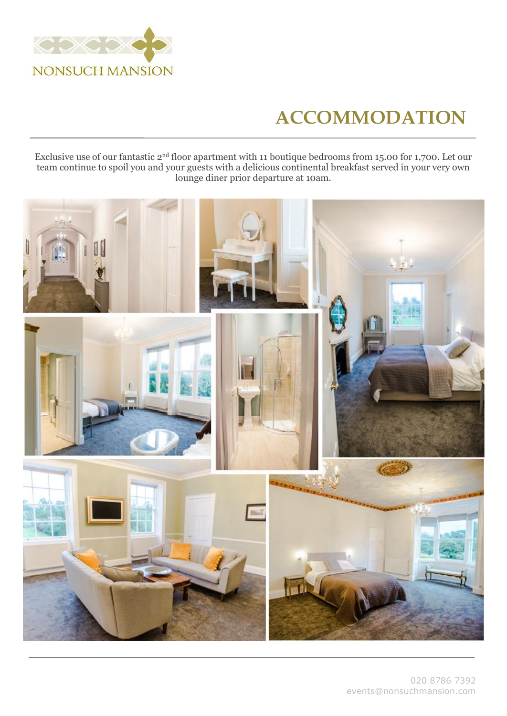

# **ACCOMMODATION**

Exclusive use of our fantastic 2nd floor apartment with 11 boutique bedrooms from 15.00 for 1,700. Let our team continue to spoil you and your guests with a delicious continental breakfast served in your very own lounge diner prior departure at 10am.

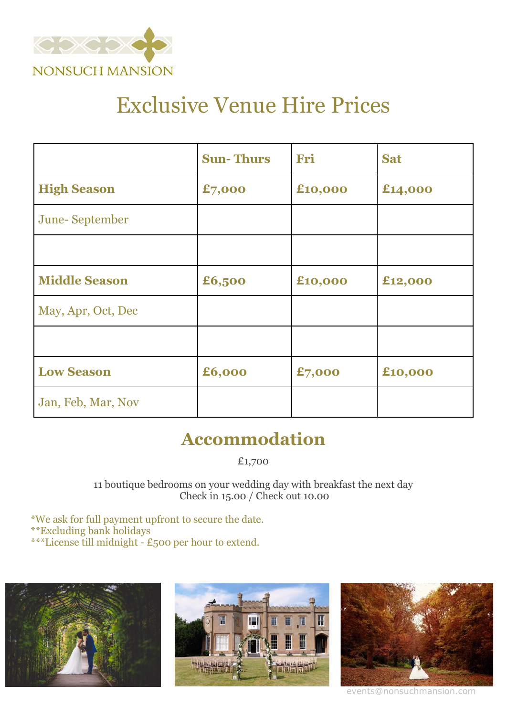

# Exclusive Venue Hire Prices

|                      | <b>Sun-Thurs</b> | Fri     | <b>Sat</b> |
|----------------------|------------------|---------|------------|
| <b>High Season</b>   | £7,000           | £10,000 | £14,000    |
| June-September       |                  |         |            |
|                      |                  |         |            |
| <b>Middle Season</b> | £6,500           | £10,000 | £12,000    |
| May, Apr, Oct, Dec   |                  |         |            |
|                      |                  |         |            |
| <b>Low Season</b>    | £6,000           | £7,000  | £10,000    |
| Jan, Feb, Mar, Nov   |                  |         |            |

### **Accommodation**

£1,700

11 boutique bedrooms on your wedding day with breakfast the next day Check in 15.00 / Check out 10.00

\*We ask for full payment upfront to secure the date. \*\*Excluding bank holidays \*\*\*License till midnight - £500 per hour to extend.







events@nonsuchmansion.com